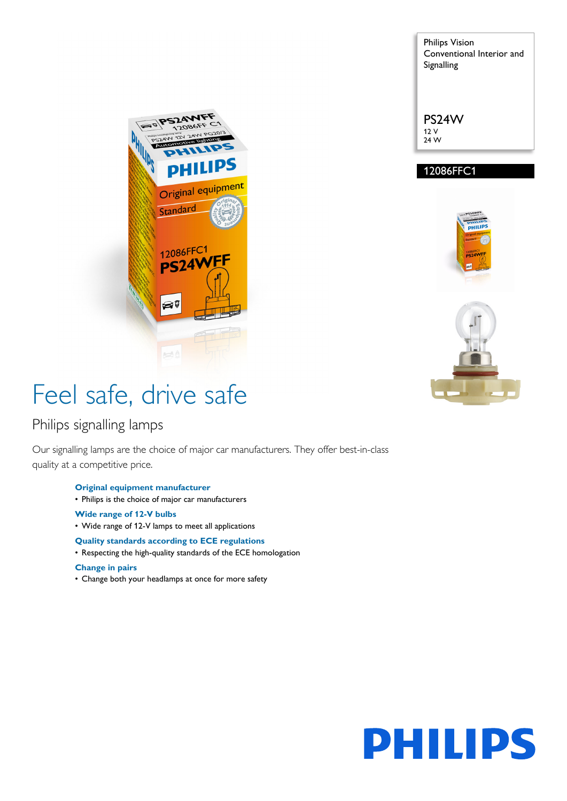**PSZAW** Original equipment Standard 12086FFC1 **PS24V** QŢ

# Feel safe, drive safe

### Philips signalling lamps

Our signalling lamps are the choice of major car manufacturers. They offer best-in-class quality at a competitive price.

- **Original equipment manufacturer**
- Philips is the choice of major car manufacturers
- **Wide range of 12-V bulbs**
- Wide range of 12-V lamps to meet all applications

### **Quality standards according to ECE regulations**

• Respecting the high-quality standards of the ECE homologation

#### **Change in pairs**

• Change both your headlamps at once for more safety

Philips Vision Conventional Interior and Signalling

PS24W 12 V 24 W